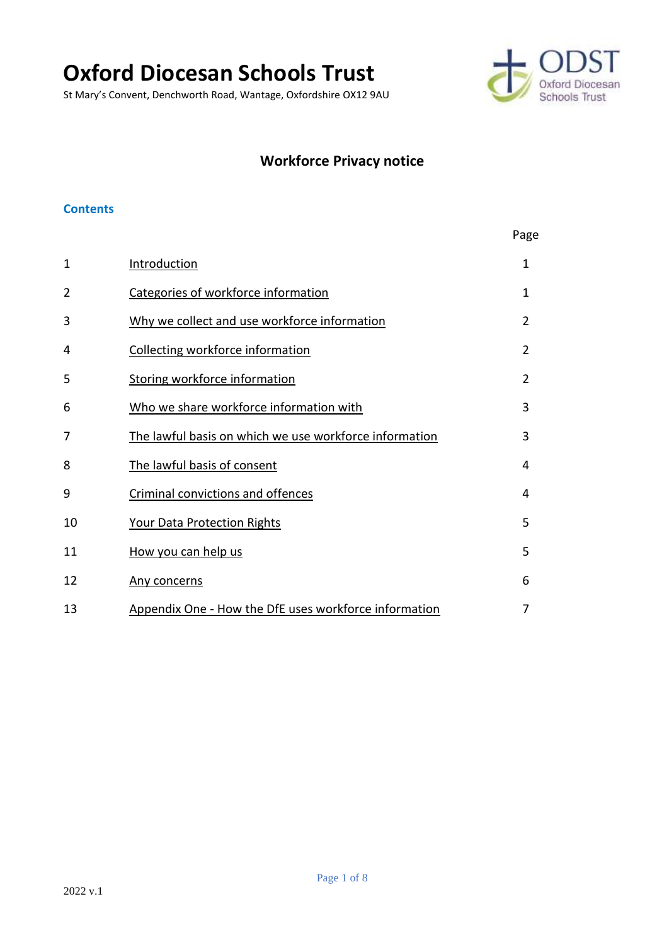# **Oxford Diocesan Schools Trust**

St Mary's Convent, Denchworth Road, Wantage, Oxfordshire OX12 9AU



## **Workforce Privacy notice**

#### **Contents**

|    |                                                        | Page           |
|----|--------------------------------------------------------|----------------|
| 1  | Introduction                                           | $\mathbf{1}$   |
| 2  | Categories of workforce information                    | $\mathbf 1$    |
| 3  | Why we collect and use workforce information           | $\overline{2}$ |
| 4  | Collecting workforce information                       | $\mathfrak{D}$ |
| 5  | <b>Storing workforce information</b>                   | $\overline{2}$ |
| 6  | Who we share workforce information with                | 3              |
| 7  | The lawful basis on which we use workforce information | 3              |
| 8  | The lawful basis of consent                            | 4              |
| 9  | <b>Criminal convictions and offences</b>               | 4              |
| 10 | <b>Your Data Protection Rights</b>                     | 5              |
| 11 | How you can help us                                    | 5              |
| 12 | Any concerns                                           | 6              |
| 13 | Appendix One - How the DfE uses workforce information  | 7              |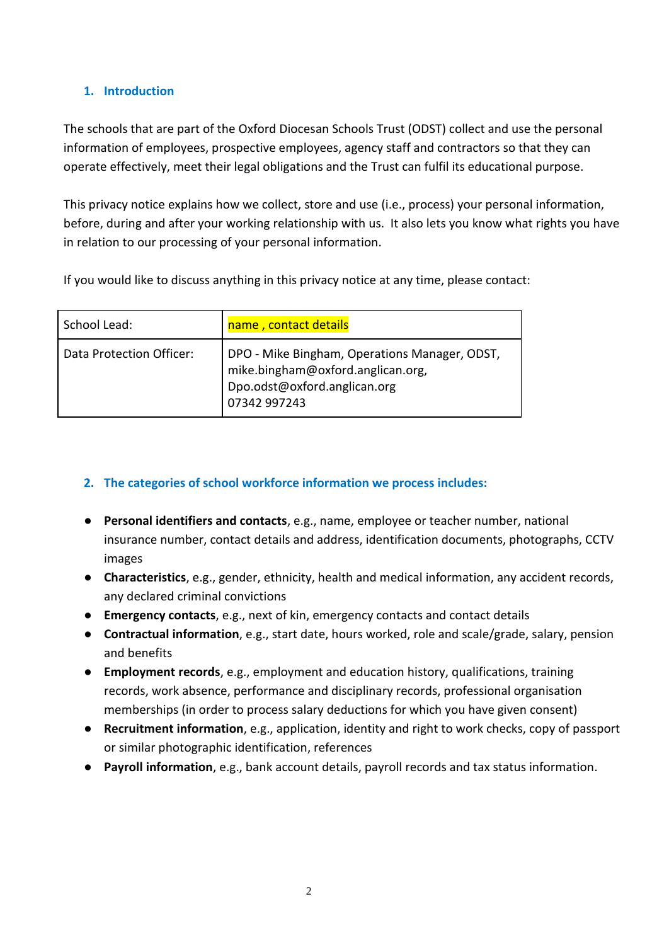## <span id="page-1-0"></span>**1. Introduction**

The schools that are part of the Oxford Diocesan Schools Trust (ODST) collect and use the personal information of employees, prospective employees, agency staff and contractors so that they can operate effectively, meet their legal obligations and the Trust can fulfil its educational purpose.

This privacy notice explains how we collect, store and use (i.e., process) your personal information, before, during and after your working relationship with us. It also lets you know what rights you have in relation to our processing of your personal information.

If you would like to discuss anything in this privacy notice at any time, please contact:

| School Lead:             | name, contact details                                                                                                              |
|--------------------------|------------------------------------------------------------------------------------------------------------------------------------|
| Data Protection Officer: | DPO - Mike Bingham, Operations Manager, ODST,<br>mike.bingham@oxford.anglican.org,<br>Dpo.odst@oxford.anglican.org<br>07342 997243 |

## <span id="page-1-1"></span>**2. The categories of school workforce information we process includes:**

- **Personal identifiers and contacts**, e.g., name, employee or teacher number, national insurance number, contact details and address, identification documents, photographs, CCTV images
- **Characteristics**, e.g., gender, ethnicity, health and medical information, any accident records, any declared criminal convictions
- **Emergency contacts**, e.g., next of kin, emergency contacts and contact details
- **Contractual information**, e.g., start date, hours worked, role and scale/grade, salary, pension and benefits
- **Employment records**, e.g., employment and education history, qualifications, training records, work absence, performance and disciplinary records, professional organisation memberships (in order to process salary deductions for which you have given consent)
- **Recruitment information**, e.g., application, identity and right to work checks, copy of passport or similar photographic identification, references
- **Payroll information**, e.g., bank account details, payroll records and tax status information.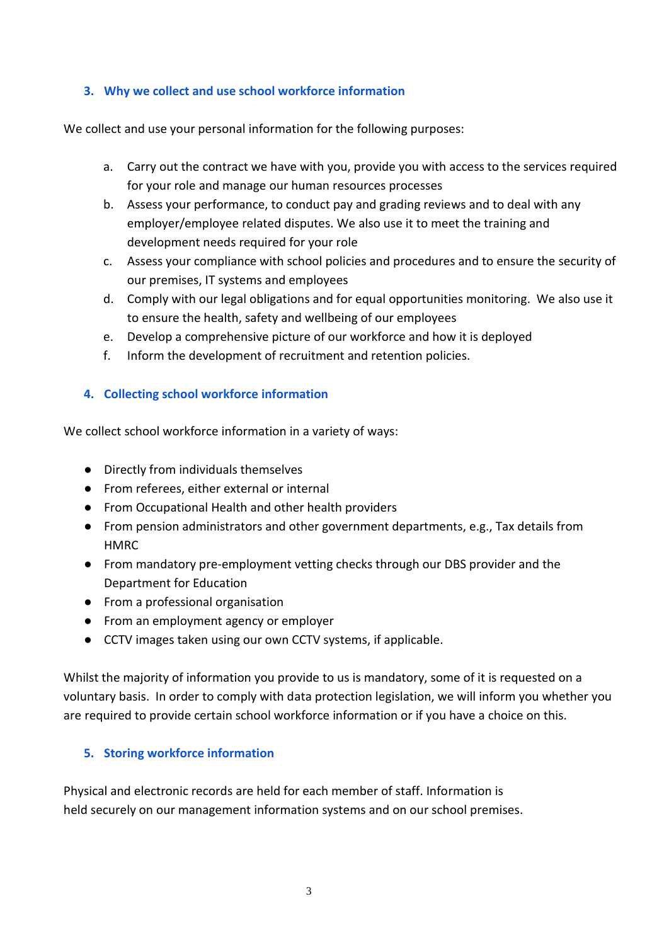#### <span id="page-2-0"></span>**3. Why we collect and use school workforce information**

We collect and use your personal information for the following purposes:

- a. Carry out the contract we have with you, provide you with access to the services required for your role and manage our human resources processes
- b. Assess your performance, to conduct pay and grading reviews and to deal with any employer/employee related disputes. We also use it to meet the training and development needs required for your role
- c. Assess your compliance with school policies and procedures and to ensure the security of our premises, IT systems and employees
- d. Comply with our legal obligations and for equal opportunities monitoring. We also use it to ensure the health, safety and wellbeing of our employees
- e. Develop a comprehensive picture of our workforce and how it is deployed
- f. Inform the development of recruitment and retention policies.

## <span id="page-2-1"></span>**4. Collecting school workforce information**

We collect school workforce information in a variety of ways:

- Directly from individuals themselves
- From referees, either external or internal
- From Occupational Health and other health providers
- From pension administrators and other government departments, e.g., Tax details from HMRC
- From mandatory pre-employment vetting checks through our DBS provider and the Department for Education
- From a professional organisation
- From an employment agency or employer
- CCTV images taken using our own CCTV systems, if applicable.

Whilst the majority of information you provide to us is mandatory, some of it is requested on a voluntary basis. In order to comply with data protection legislation, we will inform you whether you are required to provide certain school workforce information or if you have a choice on this.

## <span id="page-2-2"></span>**5. Storing workforce information**

Physical and electronic records are held for each member of staff. Information is held securely on our management information systems and on our school premises.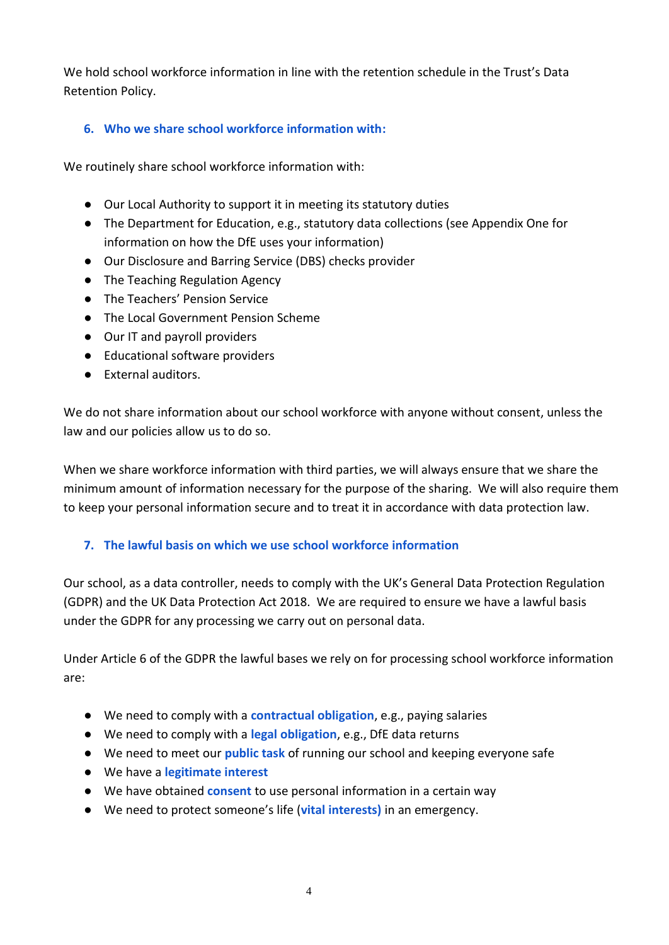We hold school workforce information in line with the retention schedule in the Trust's Data Retention Policy.

## <span id="page-3-0"></span>**6. Who we share school workforce information with:**

We routinely share school workforce information with:

- Our Local Authority to support it in meeting its statutory duties
- The Department for Education, e.g., statutory data collections (see Appendix One for information on how the DfE uses your information)
- Our Disclosure and Barring Service (DBS) checks provider
- The Teaching Regulation Agency
- The Teachers' Pension Service
- The Local Government Pension Scheme
- Our IT and payroll providers
- Educational software providers
- External auditors.

We do not share information about our school workforce with anyone without consent, unless the law and our policies allow us to do so.

When we share workforce information with third parties, we will always ensure that we share the minimum amount of information necessary for the purpose of the sharing. We will also require them to keep your personal information secure and to treat it in accordance with data protection law.

## <span id="page-3-1"></span>**7. The lawful basis on which we use school workforce information**

Our school, as a data controller, needs to comply with the UK's General Data Protection Regulation (GDPR) and the UK Data Protection Act 2018. We are required to ensure we have a lawful basis under the GDPR for any processing we carry out on personal data.

Under Article 6 of the GDPR the lawful bases we rely on for processing school workforce information are:

- We need to comply with a **contractual obligation**, e.g., paying salaries
- We need to comply with a **legal obligation**, e.g., DfE data returns
- We need to meet our **public task** of running our school and keeping everyone safe
- We have a **legitimate interest**
- We have obtained **consent** to use personal information in a certain way
- We need to protect someone's life (**vital interests)** in an emergency.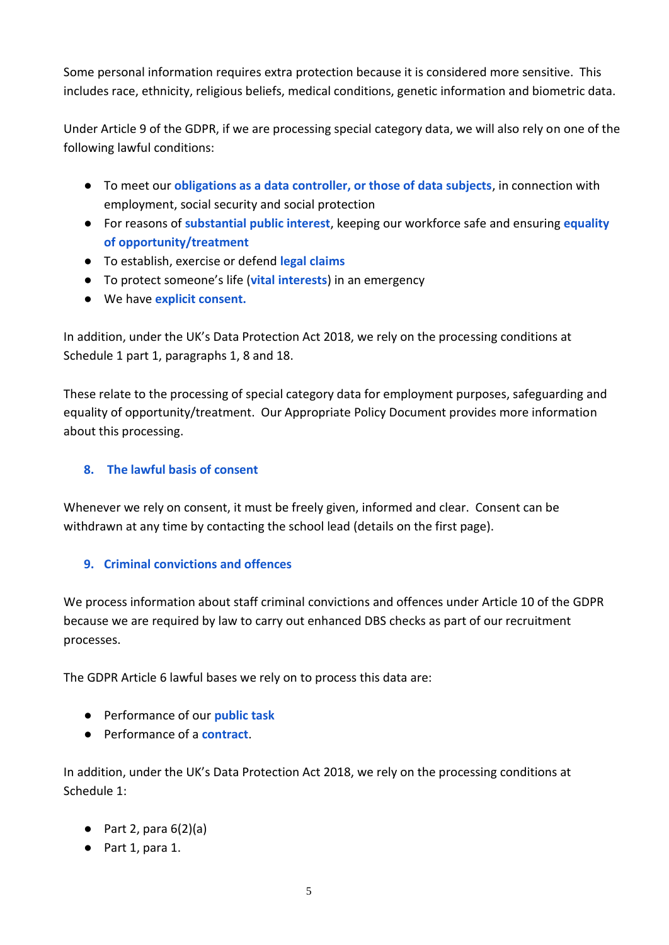Some personal information requires extra protection because it is considered more sensitive. This includes race, ethnicity, religious beliefs, medical conditions, genetic information and biometric data.

Under Article 9 of the GDPR, if we are processing special category data, we will also rely on one of the following lawful conditions:

- To meet our **obligations as a data controller, or those of data subjects**, in connection with employment, social security and social protection
- For reasons of **substantial public interest**, keeping our workforce safe and ensuring **equality of opportunity/treatment**
- To establish, exercise or defend **legal claims**
- To protect someone's life (**vital interests**) in an emergency
- We have **explicit consent.**

In addition, under the UK's Data Protection Act 2018, we rely on the processing conditions at Schedule 1 part 1, paragraphs 1, 8 and 18.

These relate to the processing of special category data for employment purposes, safeguarding and equality of opportunity/treatment. Our Appropriate Policy Document provides more information about this processing.

## <span id="page-4-0"></span>**8. The lawful basis of consent**

Whenever we rely on consent, it must be freely given, informed and clear. Consent can be withdrawn at any time by contacting the school lead (details on the first page).

## <span id="page-4-1"></span>**9. Criminal convictions and offences**

We process information about staff criminal convictions and offences under Article 10 of the GDPR because we are required by law to carry out enhanced DBS checks as part of our recruitment processes.

The GDPR Article 6 lawful bases we rely on to process this data are:

- Performance of our **public task**
- Performance of a **contract**.

In addition, under the UK's Data Protection Act 2018, we rely on the processing conditions at Schedule 1:

- $\bullet$  Part 2, para  $6(2)(a)$
- Part 1, para 1.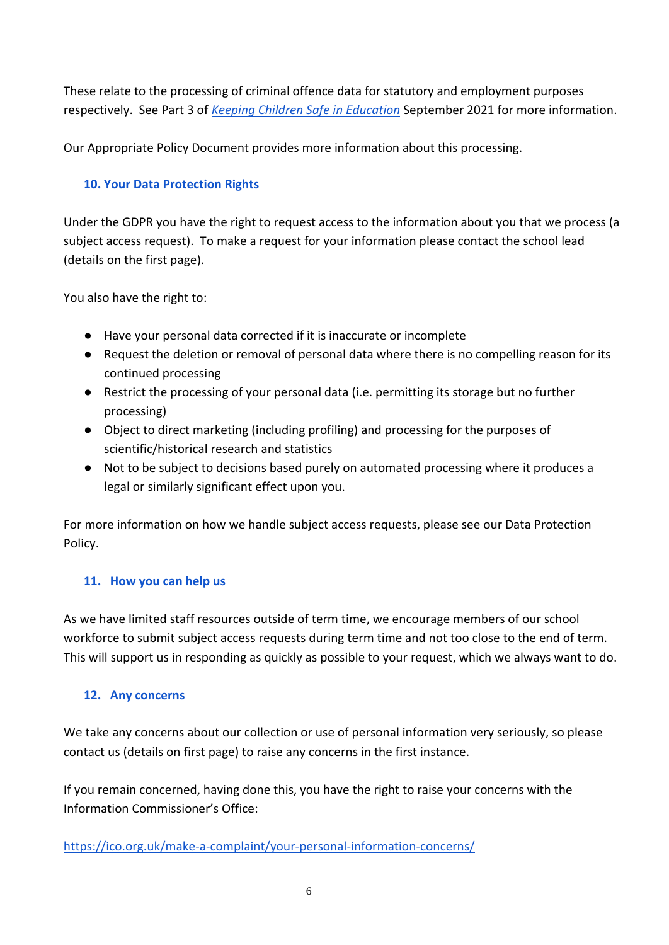These relate to the processing of criminal offence data for statutory and employment purposes respectively. See Part 3 of *[Keeping Children Safe in Education](https://assets.publishing.service.gov.uk/government/uploads/system/uploads/attachment_data/file/1007260/Keeping_children_safe_in_education_2021.pdf)* September 2021 for more information.

Our Appropriate Policy Document provides more information about this processing.

#### <span id="page-5-0"></span>**10. Your Data Protection Rights**

Under the GDPR you have the right to request access to the information about you that we process (a subject access request). To make a request for your information please contact the school lead (details on the first page).

You also have the right to:

- Have your personal data corrected if it is inaccurate or incomplete
- Request the deletion or removal of personal data where there is no compelling reason for its continued processing
- Restrict the processing of your personal data (i.e. permitting its storage but no further processing)
- Object to direct marketing (including profiling) and processing for the purposes of scientific/historical research and statistics
- Not to be subject to decisions based purely on automated processing where it produces a legal or similarly significant effect upon you.

For more information on how we handle subject access requests, please see our Data Protection Policy.

#### <span id="page-5-1"></span>**11. How you can help us**

As we have limited staff resources outside of term time, we encourage members of our school workforce to submit subject access requests during term time and not too close to the end of term. This will support us in responding as quickly as possible to your request, which we always want to do.

#### <span id="page-5-2"></span>**12. Any concerns**

We take any concerns about our collection or use of personal information very seriously, so please contact us (details on first page) to raise any concerns in the first instance.

If you remain concerned, having done this, you have the right to raise your concerns with the Information Commissioner's Office:

<https://ico.org.uk/make-a-complaint/your-personal-information-concerns/>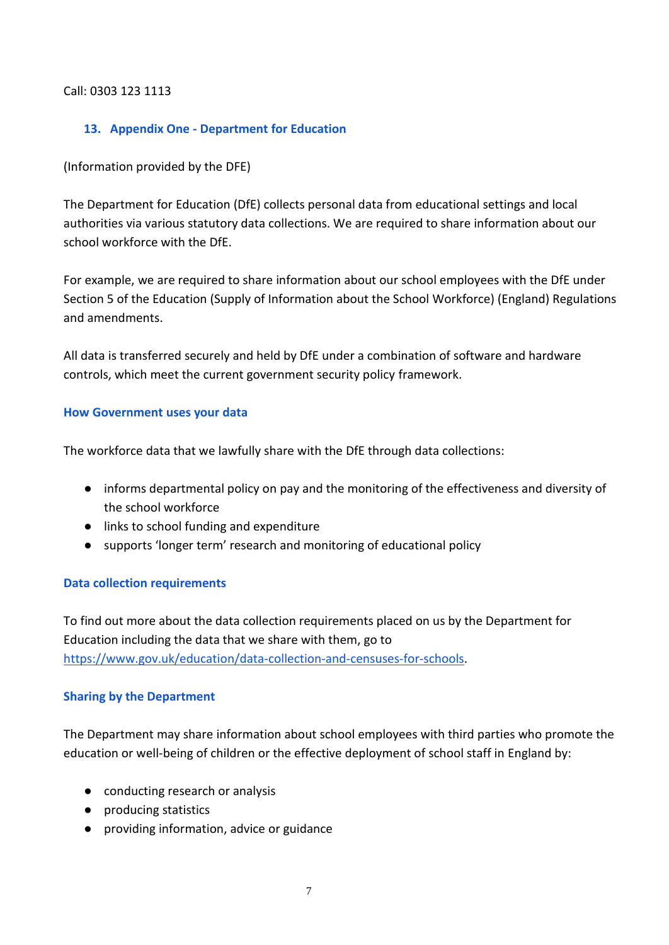#### Call: 0303 123 1113

#### <span id="page-6-0"></span>**13. Appendix One - Department for Education**

(Information provided by the DFE)

The Department for Education (DfE) collects personal data from educational settings and local authorities via various statutory data collections. We are required to share information about our school workforce with the DfE.

For example, we are required to share information about our school employees with the DfE under Section 5 of the Education (Supply of Information about the School Workforce) (England) Regulations and amendments.

All data is transferred securely and held by DfE under a combination of software and hardware controls, which meet the current government security policy framework.

#### **How Government uses your data**

The workforce data that we lawfully share with the DfE through data collections:

- informs departmental policy on pay and the monitoring of the effectiveness and diversity of the school workforce
- links to school funding and expenditure
- supports 'longer term' research and monitoring of educational policy

#### **Data collection requirements**

To find out more about the data collection requirements placed on us by the Department for Education including the data that we share with them, go to [https://www.gov.uk/education/data-collection-and-censuses-for-schools.](https://www.gov.uk/education/data-collection-and-censuses-for-schools)

#### **Sharing by the Department**

The Department may share information about school employees with third parties who promote the education or well-being of children or the effective deployment of school staff in England by:

- conducting research or analysis
- producing statistics
- providing information, advice or guidance